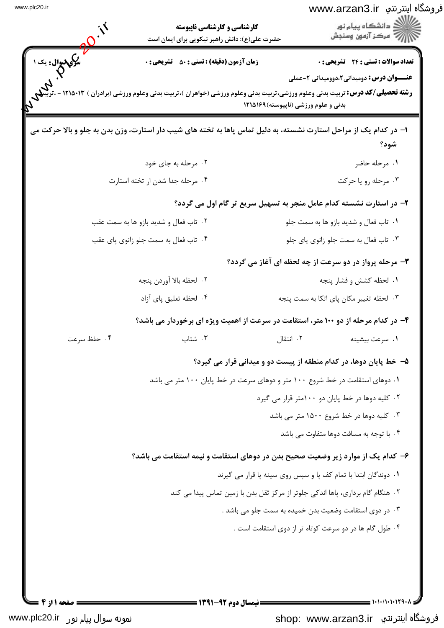| <b>یکی سوال:</b> یک ۱                 | حضرت علی(ع): دانش راهبر نیکویی برای ایمان است<br><b>زمان آزمون (دقیقه) : تستی : 50 ٪ تشریحی : 0</b> | تعداد سوالات : تستي : 24 - تشريحي : 0                                                                                                                                                                                     |
|---------------------------------------|-----------------------------------------------------------------------------------------------------|---------------------------------------------------------------------------------------------------------------------------------------------------------------------------------------------------------------------------|
|                                       |                                                                                                     | <b>عنـــوان درس:</b> دومیدانی2،دوومیدانی 2-عملی<br><b>رشته تحصیلی/کد درس:</b> تربیت بدنی وعلوم ورزشی،تربیت بدنی وعلوم ورزشی (خواهران )،تربیت بدنی وعلوم ورزشی (برادران ) ۱۲۱۵۰۱۳ -<br>بدنی و علوم ورزشی (ناپیوسته)۱۲۱۵۱۶۹ |
|                                       |                                                                                                     | ۱– در کدام یک از مراحل استارت نشسته، به دلیل تماس پاها به تخته های شیب دار استارت، وزن بدن به جلو و بالا حرکت می<br>شود؟                                                                                                  |
|                                       | ۰۲ مرحله به جای خود                                                                                 | ۰۱ مرحله حاضر                                                                                                                                                                                                             |
|                                       | ۰۴ مرحله جدا شدن ار تخته استارت                                                                     | ۰۳ مرحله رو یا حرکت                                                                                                                                                                                                       |
|                                       |                                                                                                     | ۲- در استارت نشسته کدام عامل منجر به تسهیل سریع تر گام اول می گردد؟                                                                                                                                                       |
| ۰۲ تاب فعال و شدید بازو ها به سمت عقب |                                                                                                     | ۰۱ تاب فعال و شدید بازو ها به سمت جلو                                                                                                                                                                                     |
|                                       | ۰۴ تاب فعال به سمت جلو زانوي پاي عقب                                                                | ۰۳ تاب فعال به سمت جلو زانوي پاي جلو                                                                                                                                                                                      |
|                                       |                                                                                                     | ۳- مرحله پرواز در دو سرعت از چه لحظه ای آغاز می گردد؟                                                                                                                                                                     |
|                                       | ٢.  لحظه بالا آوردن پنجه                                                                            | ٠١. لحظه كشش و فشار پنجه                                                                                                                                                                                                  |
|                                       | ۰۴ لحظه تعليق پاي آزاد                                                                              | ۰۳ لحظه تغییر مکان پای اتکا به سمت پنجه                                                                                                                                                                                   |
|                                       |                                                                                                     | ۴- در کدام مرحله از دو ۱۰۰ متر، استقامت در سرعت از اهمیت ویژه ای برخوردار می باشد؟                                                                                                                                        |
| ۰۴ حفظ سرعت                           | ۰۳ شتاب                                                                                             | ٢. انتقال<br>٠١ سرعت بيشينه                                                                                                                                                                                               |
|                                       |                                                                                                     | ۵– خط پایان دوها، در کدام منطقه از پیست دو و میدانی قرار می گیرد؟                                                                                                                                                         |
|                                       |                                                                                                     | ۱. دوهای استقامت در خط شروع ۱۰۰ متر و دوهای سرعت در خط پایان ۱۰۰ متر می باشد                                                                                                                                              |
|                                       |                                                                                                     | ۰۲ کلیه دوها در خط پایان دو ۱۰۰متر قرار می گیرد                                                                                                                                                                           |
|                                       |                                                                                                     | ۰۳ کلیه دوها در خط شروع ۱۵۰۰ متر می باشد                                                                                                                                                                                  |
|                                       |                                                                                                     | ۰۴ با توجه به مسافت دوها متفاوت می باشد                                                                                                                                                                                   |
|                                       |                                                                                                     | ۶– کدام یک از موارد زیر وضعیت صحیح بدن در دوهای استقامت و نیمه استقامت می باشد؟                                                                                                                                           |
|                                       |                                                                                                     | ۰۱ دوندگان ابتدا با تمام کف پا و سپس روی سینه پا قرار می گیرند                                                                                                                                                            |
|                                       |                                                                                                     | ٢. هنگام گام برداري، پاها اندکي جلوتر از مرکز ثقل بدن با زمين تماس پيدا مي کند                                                                                                                                            |
|                                       |                                                                                                     | ۰۳ در دوی استقامت وضعیت بدن خمیده به سمت جلو می باشد .                                                                                                                                                                    |
|                                       |                                                                                                     | ۰۴ طول گام ها در دو سرعت کوتاه تر از دوی استقامت است .                                                                                                                                                                    |
|                                       |                                                                                                     |                                                                                                                                                                                                                           |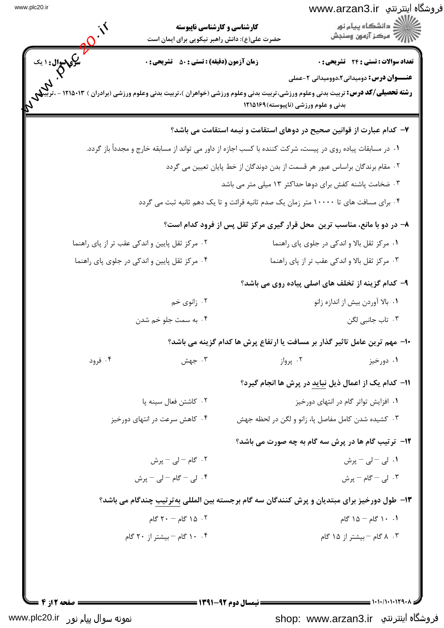| فروشگاه اینترنتي www.arzan3.ir |   |
|--------------------------------|---|
|                                | . |

| ڏ دانشڪاه پيام نور<br>-<br>- مرڪز آزمون وسنڊش                                                                                                                         |                      | <b>کارشناسی و کارشناسی ناپیوسته</b><br>حضرت علی(ع): دانش راهبر نیکویی برای ایمان است |                                  |
|-----------------------------------------------------------------------------------------------------------------------------------------------------------------------|----------------------|--------------------------------------------------------------------------------------|----------------------------------|
| تعداد سوالات : تستى : 24 گشريحى : 0                                                                                                                                   |                      | <b>زمان آزمون (دقیقه) : تستی : 50 ٪ تشریحی : 0</b>                                   | ما رکی سوال : ۱ یک<br>منگری مسلم |
| <b>عنـــوان درس:</b> دومیدانی2،دوومیدانی 2-عملی                                                                                                                       |                      |                                                                                      |                                  |
| <b>رشته تحصیلی/کد درس:</b> تربیت بدنی وعلوم ورزشی،تربیت بدنی وعلوم ورزشی (خواهران )،تربیت بدنی وعلوم ورزشی (برادران ) ۱۲۱۵۰۱۳<br>بدنی و علوم ورزشی (ناپیوسته) ۱۲۱۵۱۶۹ |                      |                                                                                      |                                  |
| ۷– کدام عبارت از قوانین صحیح در دوهای استقامت و نیمه استقامت می باشد؟                                                                                                 |                      |                                                                                      |                                  |
| ۰۱ در مسابقات پیاده روی در پیست، شرکت کننده با کسب اجازه از داور می تواند از مسابقه خارج و مجدداً باز گردد.                                                           |                      |                                                                                      |                                  |
| ۰۲ مقام برندگان براساس عبور هر قسمت از بدن دوندگان از خط پایان تعیین می گردد                                                                                          |                      |                                                                                      |                                  |
| ۰۳ ضخامت پاشنه کفش برای دوها حداکثر ۱۳ میلی متر می باشد                                                                                                               |                      |                                                                                      |                                  |
| ۰۴ برای مسافت های تا ۱۰۰۰۰ متر زمان یک صدم ثانیه قرائت و تا یک دهم ثانیه ثبت می گردد                                                                                  |                      |                                                                                      |                                  |
| ۸- در دو با مانع، مناسب ترین ًمحل قرار گیری مرکز ثقل پس از فرود کدام است؟                                                                                             |                      |                                                                                      |                                  |
| ۰۱ مرکز ثقل بالا و اندکی در جلوی پای راهنما                                                                                                                           |                      | ۰۲ مرکز ثقل پایین و اندکی عقب تر از پای راهنما                                       |                                  |
| ۰۳ مرکز ثقل بالا و اندکی عقب تر از پای راهنما                                                                                                                         |                      | ۰۴ مرکز ثقل پایین و اندکی در جلوی پای راهنما                                         |                                  |
| ۹- کدام گزینه از تخلف های اصلی پیاده روی می باشد؟                                                                                                                     |                      |                                                                                      |                                  |
| ٠١. بالا آوردن بيش از اندازه زانو                                                                                                                                     |                      | ۰۲ زانوي خم                                                                          |                                  |
| ۰۳ تاب جانبی لگن                                                                                                                                                      |                      | ۰۴ به سمت جلو خم شدن                                                                 |                                  |
| ∙ا− مهم ترین عامل تاثیر گذار بر مسافت یا ارتفاع پرش ها کدام گزینه می باشد؟                                                                                            |                      |                                                                                      |                                  |
| ۰۲ پرواز<br>۰۱ دورخیز                                                                                                                                                 |                      | ۰۳ جهش                                                                               | ۰۴ فرود                          |
| 11- كدام يك از اعمال ذيل نبايد در پرش ها انجام گيرد؟                                                                                                                  |                      |                                                                                      |                                  |
| ۰۱ افزایش تواتر گام در انتهای دورخیز                                                                                                                                  |                      | ۰۲ کاشتن فعال سینه پا                                                                |                                  |
| ۰۳ کشیده شدن کامل مفاصل پا، زانو و لگن در لحظه جهش                                                                                                                    |                      | ۰۴ کاهش سرعت در انتهای دورخیز                                                        |                                  |
| <b>۱۲</b> - ترتیب گام ها در پرش سه گام به چه صورت می باشد؟                                                                                                            |                      |                                                                                      |                                  |
| ۰۱ لی – لی – پرش                                                                                                                                                      |                      | ٢. گام – لي – پرش                                                                    |                                  |
| ۰۳ لی – گام – پرش                                                                                                                                                     |                      | ۴. لی - گام -لی - پرش                                                                |                                  |
| ۱۳- طول دورخیز برای مبتدیان و پرش کنندگان سه گام برجسته بین المللی بهترتیب چندگام می باشد؟                                                                            |                      |                                                                                      |                                  |
| ۰.۱ ۱۴ گام – ۱۵ گام                                                                                                                                                   |                      | ۰۲ کام – ۲۰ گام                                                                      |                                  |
| ۰۳ ۸ گام – بیشتر از ۱۵ گام                                                                                                                                            |                      | ۰۴ ۱۰ گام – بیشتر از ۲۰ گام                                                          |                                  |
|                                                                                                                                                                       |                      |                                                                                      |                                  |
|                                                                                                                                                                       |                      |                                                                                      |                                  |
| $\frac{1}{2}$ )+1+/1+1+179+1                                                                                                                                          | = نیمسال دوم ۹۲-۱۳۹۱ |                                                                                      | صفحه 12; 4                       |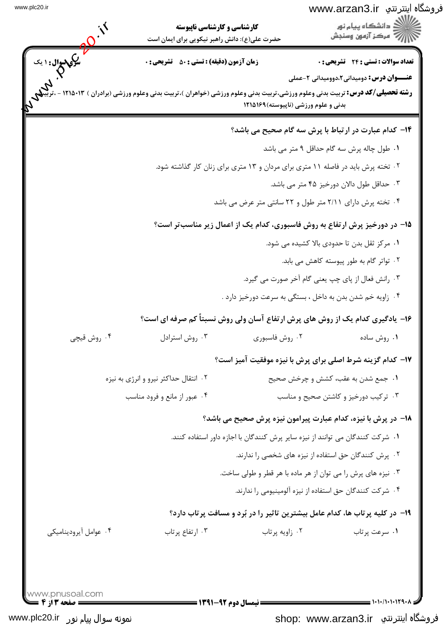## www.arzan3.ir